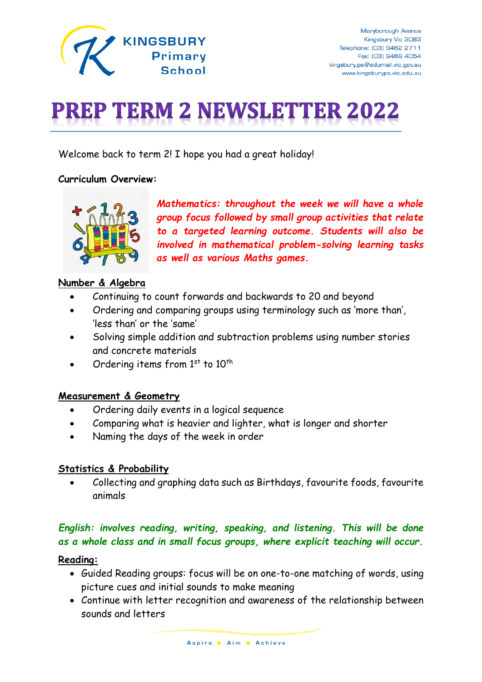

# **PREP TERM 2 NEWSLETTER 2022**

Welcome back to term 2! I hope you had a great holiday!

## **Curriculum Overview:**



*Mathematics: throughout the week we will have a whole group focus followed by small group activities that relate to a targeted learning outcome. Students will also be involved in mathematical problem-solving learning tasks as well as various Maths games.*

# **Number & Algebra**

- Continuing to count forwards and backwards to 20 and beyond
- Ordering and comparing groups using terminology such as 'more than', 'less than' or the 'same'
- Solving simple addition and subtraction problems using number stories and concrete materials
- Ordering items from  $1<sup>st</sup>$  to  $10<sup>th</sup>$

## **Measurement & Geometry**

- Ordering daily events in a logical sequence
- Comparing what is heavier and lighter, what is longer and shorter
- Naming the days of the week in order

## **Statistics & Probability**

• Collecting and graphing data such as Birthdays, favourite foods, favourite animals

# *English: involves reading, writing, speaking, and listening. This will be done as a whole class and in small focus groups, where explicit teaching will occur.*

## **Reading:**

- Guided Reading groups: focus will be on one-to-one matching of words, using picture cues and initial sounds to make meaning
- Continue with letter recognition and awareness of the relationship between sounds and letters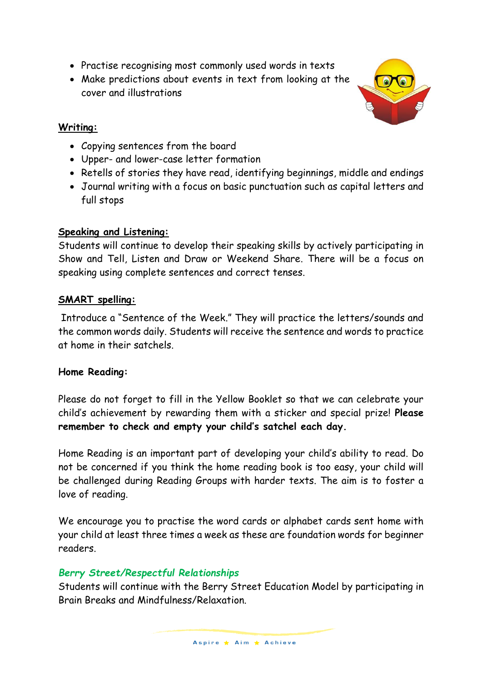- Practise recognising most commonly used words in texts
- Make predictions about events in text from looking at the cover and illustrations

# **Writing:**

- Copying sentences from the board
- Upper- and lower-case letter formation
- Retells of stories they have read, identifying beginnings, middle and endings
- Journal writing with a focus on basic punctuation such as capital letters and full stops

# **Speaking and Listening:**

Students will continue to develop their speaking skills by actively participating in Show and Tell, Listen and Draw or Weekend Share. There will be a focus on speaking using complete sentences and correct tenses.

# **SMART spelling:**

Introduce a "Sentence of the Week." They will practice the letters/sounds and the common words daily. Students will receive the sentence and words to practice at home in their satchels.

# **Home Reading:**

Please do not forget to fill in the Yellow Booklet so that we can celebrate your child's achievement by rewarding them with a sticker and special prize! **Please remember to check and empty your child's satchel each day.**

Home Reading is an important part of developing your child's ability to read. Do not be concerned if you think the home reading book is too easy, your child will be challenged during Reading Groups with harder texts. The aim is to foster a love of reading.

We encourage you to practise the word cards or alphabet cards sent home with your child at least three times a week as these are foundation words for beginner readers.

# *Berry Street/Respectful Relationships*

Students will continue with the Berry Street Education Model by participating in Brain Breaks and Mindfulness/Relaxation.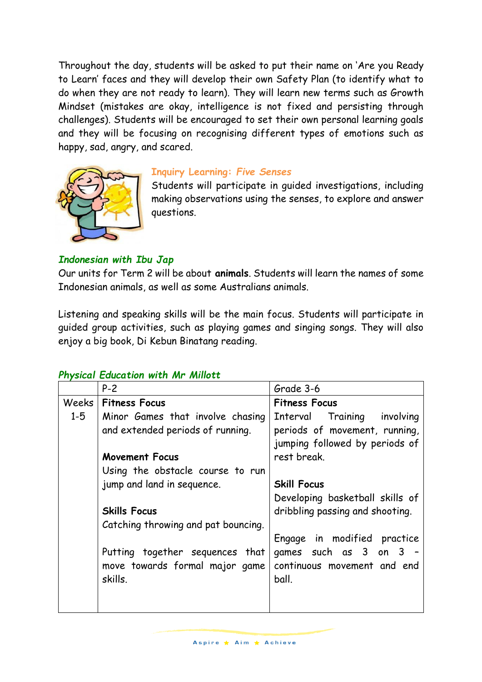Throughout the day, students will be asked to put their name on 'Are you Ready to Learn' faces and they will develop their own Safety Plan (to identify what to do when they are not ready to learn). They will learn new terms such as Growth Mindset (mistakes are okay, intelligence is not fixed and persisting through challenges). Students will be encouraged to set their own personal learning goals and they will be focusing on recognising different types of emotions such as happy, sad, angry, and scared.



#### **Inquiry Learning:** *Five Senses*

Students will participate in guided investigations, including making observations using the senses, to explore and answer questions.

#### *Indonesian with Ibu Jap*

Our units for Term 2 will be about **animals**. Students will learn the names of some Indonesian animals, as well as some Australians animals.

Listening and speaking skills will be the main focus. Students will participate in guided group activities, such as playing games and singing songs. They will also enjoy a big book, Di Kebun Binatang reading.

#### *Physical Education with Mr Millott*

|         | $P-2$                               | Grade 3-6                       |
|---------|-------------------------------------|---------------------------------|
| Weeks   | <b>Fitness Focus</b>                | <b>Fitness Focus</b>            |
| $1 - 5$ | Minor Games that involve chasing    | Interval Training involving     |
|         | and extended periods of running.    | periods of movement, running,   |
|         |                                     | jumping followed by periods of  |
|         | <b>Movement Focus</b>               | rest break.                     |
|         | Using the obstacle course to run    |                                 |
|         | jump and land in sequence.          | <b>Skill Focus</b>              |
|         |                                     | Developing basketball skills of |
|         | <b>Skills Focus</b>                 | dribbling passing and shooting. |
|         | Catching throwing and pat bouncing. |                                 |
|         |                                     | Engage in modified practice     |
|         | Putting together sequences that     | games such as 3 on 3 -          |
|         | move towards formal major game      | continuous movement and end     |
|         | skills.                             | ball.                           |
|         |                                     |                                 |
|         |                                     |                                 |